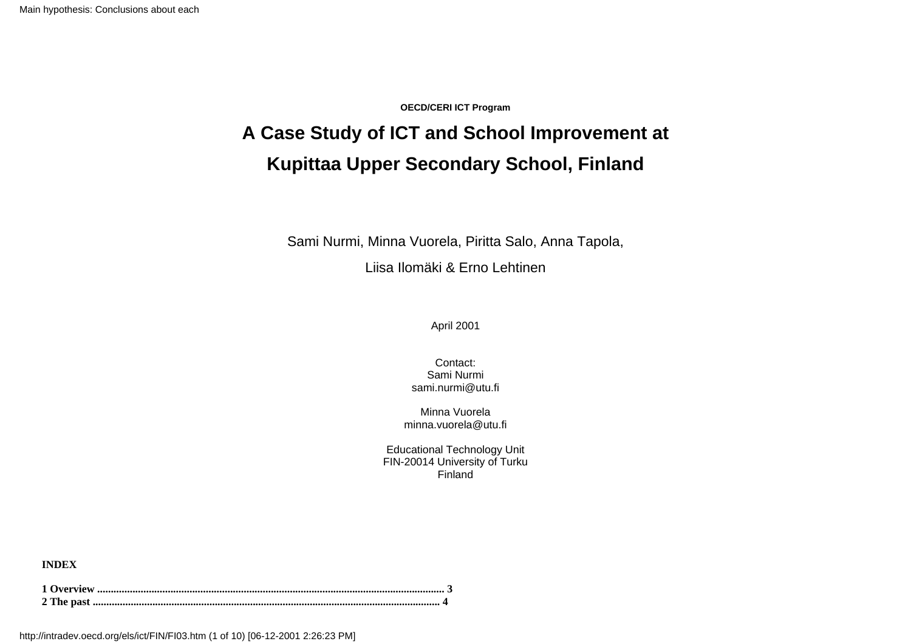**OECD/CERI ICT Program**

## **A Case Study of ICT and School Improvement at Kupittaa Upper Secondary School, Finland**

Sami Nurmi, Minna Vuorela, Piritta Salo, Anna Tapola,

Liisa Ilomäki & Erno Lehtinen

April 2001

Contact: Sami Nurmi sami.nurmi@utu.fi

Minna Vuorela minna.vuorela@utu.fi

Educational Technology Unit FIN-20014 University of Turku Finland

**INDEX**

http://intradev.oecd.org/els/ict/FIN/FI03.htm (1 of 10) [06-12-2001 2:26:23 PM]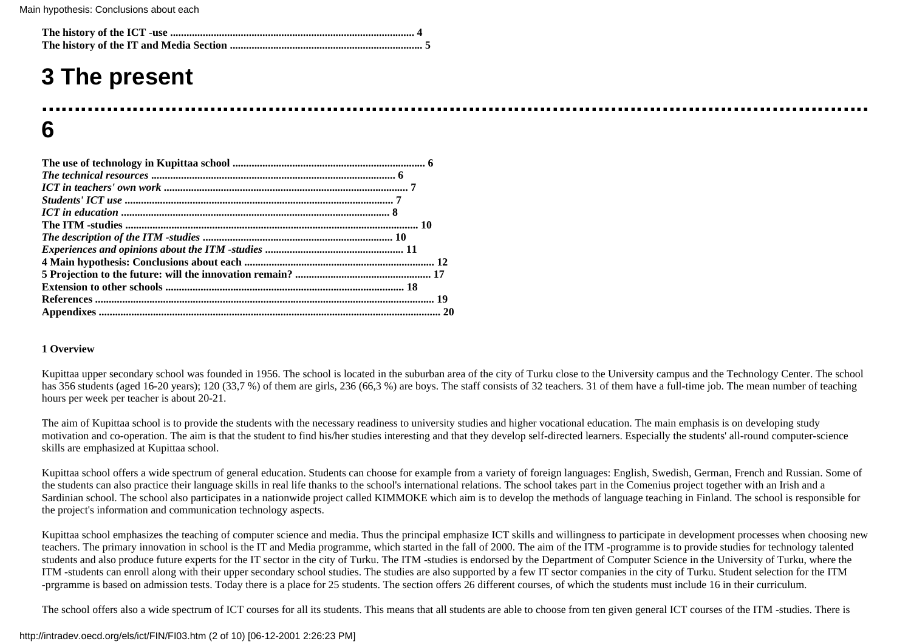# **3 The present**

## **................................................................................................................................ 6**

#### **1 Overview**

Kupittaa upper secondary school was founded in 1956. The school is located in the suburban area of the city of Turku close to the University campus and the Technology Center. The school has 356 students (aged 16-20 years); 120 (33,7 %) of them are girls, 236 (66,3 %) are boys. The staff consists of 32 teachers. 31 of them have a full-time job. The mean number of teaching hours per week per teacher is about 20-21.

The aim of Kupittaa school is to provide the students with the necessary readiness to university studies and higher vocational education. The main emphasis is on developing study motivation and co-operation. The aim is that the student to find his/her studies interesting and that they develop self-directed learners. Especially the students' all-round computer-science skills are emphasized at Kupittaa school.

Kupittaa school offers a wide spectrum of general education. Students can choose for example from a variety of foreign languages: English, Swedish, German, French and Russian. Some of the students can also practice their language skills in real life thanks to the school's international relations. The school takes part in the Comenius project together with an Irish and a Sardinian school. The school also participates in a nationwide project called KIMMOKE which aim is to develop the methods of language teaching in Finland. The school is responsible for the project's information and communication technology aspects.

Kupittaa school emphasizes the teaching of computer science and media. Thus the principal emphasize ICT skills and willingness to participate in development processes when choosing new teachers. The primary innovation in school is the IT and Media programme, which started in the fall of 2000. The aim of the ITM -programme is to provide studies for technology talented students and also produce future experts for the IT sector in the city of Turku. The ITM -studies is endorsed by the Department of Computer Science in the University of Turku, where the ITM -students can enroll along with their upper secondary school studies. The studies are also supported by a few IT sector companies in the city of Turku. Student selection for the ITM -prgramme is based on admission tests. Today there is a place for 25 students. The section offers 26 different courses, of which the students must include 16 in their curriculum.

The school offers also a wide spectrum of ICT courses for all its students. This means that all students are able to choose from ten given general ICT courses of the ITM -studies. There is

#### http://intradev.oecd.org/els/ict/FIN/FI03.htm (2 of 10) [06-12-2001 2:26:23 PM]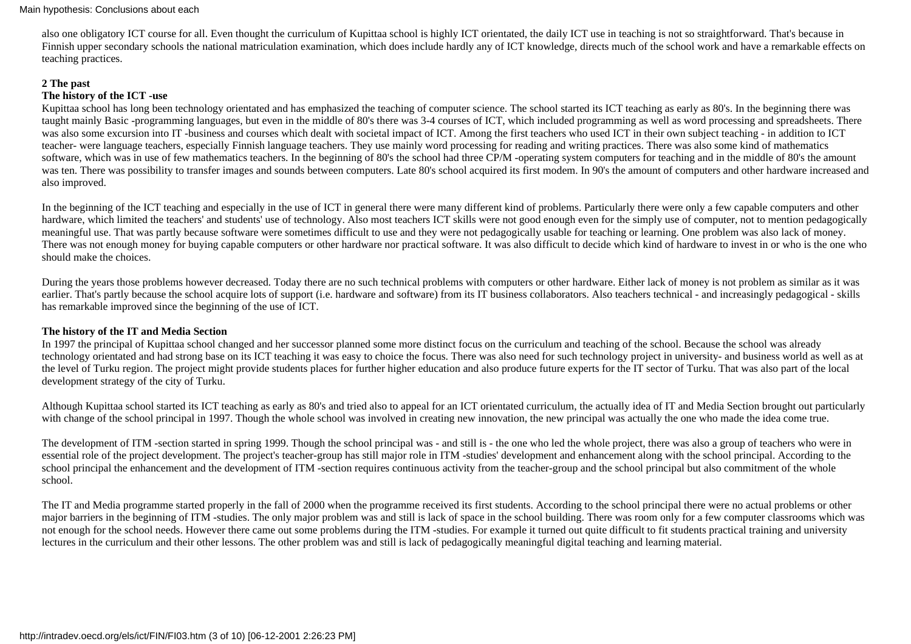also one obligatory ICT course for all. Even thought the curriculum of Kupittaa school is highly ICT orientated, the daily ICT use in teaching is not so straightforward. That's because in Finnish upper secondary schools the national matriculation examination, which does include hardly any of ICT knowledge, directs much of the school work and have a remarkable effects on teaching practices.

## **2 The past**

## **The history of the ICT -use**

Kupittaa school has long been technology orientated and has emphasized the teaching of computer science. The school started its ICT teaching as early as 80's. In the beginning there was taught mainly Basic -programming languages, but even in the middle of 80's there was 3-4 courses of ICT, which included programming as well as word processing and spreadsheets. There was also some excursion into IT -business and courses which dealt with societal impact of ICT. Among the first teachers who used ICT in their own subject teaching - in addition to ICT teacher- were language teachers, especially Finnish language teachers. They use mainly word processing for reading and writing practices. There was also some kind of mathematics software, which was in use of few mathematics teachers. In the beginning of 80's the school had three CP/M -operating system computers for teaching and in the middle of 80's the amount was ten. There was possibility to transfer images and sounds between computers. Late 80's school acquired its first modem. In 90's the amount of computers and other hardware increased and also improved.

In the beginning of the ICT teaching and especially in the use of ICT in general there were many different kind of problems. Particularly there were only a few capable computers and other hardware, which limited the teachers' and students' use of technology. Also most teachers ICT skills were not good enough even for the simply use of computer, not to mention pedagogically meaningful use. That was partly because software were sometimes difficult to use and they were not pedagogically usable for teaching or learning. One problem was also lack of money. There was not enough money for buying capable computers or other hardware nor practical software. It was also difficult to decide which kind of hardware to invest in or who is the one who should make the choices.

During the years those problems however decreased. Today there are no such technical problems with computers or other hardware. Either lack of money is not problem as similar as it was earlier. That's partly because the school acquire lots of support (i.e. hardware and software) from its IT business collaborators. Also teachers technical - and increasingly pedagogical - skills has remarkable improved since the beginning of the use of ICT.

## **The history of the IT and Media Section**

In 1997 the principal of Kupittaa school changed and her successor planned some more distinct focus on the curriculum and teaching of the school. Because the school was already technology orientated and had strong base on its ICT teaching it was easy to choice the focus. There was also need for such technology project in university- and business world as well as at the level of Turku region. The project might provide students places for further higher education and also produce future experts for the IT sector of Turku. That was also part of the local development strategy of the city of Turku.

Although Kupittaa school started its ICT teaching as early as 80's and tried also to appeal for an ICT orientated curriculum, the actually idea of IT and Media Section brought out particularly with change of the school principal in 1997. Though the whole school was involved in creating new innovation, the new principal was actually the one who made the idea come true.

The development of ITM -section started in spring 1999. Though the school principal was - and still is - the one who led the whole project, there was also a group of teachers who were in essential role of the project development. The project's teacher-group has still major role in ITM -studies' development and enhancement along with the school principal. According to the school principal the enhancement and the development of ITM -section requires continuous activity from the teacher-group and the school principal but also commitment of the whole school.

The IT and Media programme started properly in the fall of 2000 when the programme received its first students. According to the school principal there were no actual problems or other major barriers in the beginning of ITM -studies. The only major problem was and still is lack of space in the school building. There was room only for a few computer classrooms which was not enough for the school needs. However there came out some problems during the ITM -studies. For example it turned out quite difficult to fit students practical training and university lectures in the curriculum and their other lessons. The other problem was and still is lack of pedagogically meaningful digital teaching and learning material.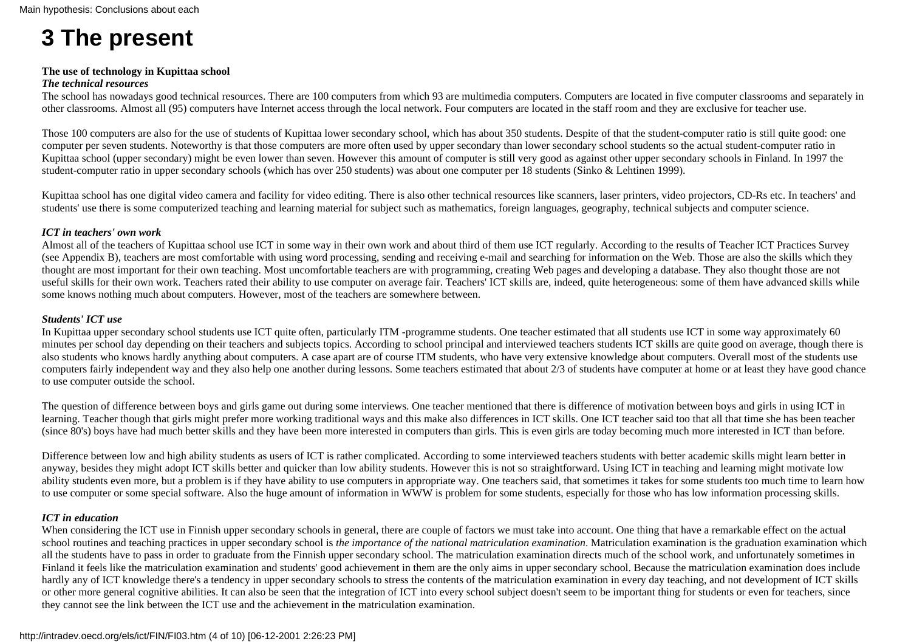# **3 The present**

#### **The use of technology in Kupittaa school**

#### *The technical resources*

The school has nowadays good technical resources. There are 100 computers from which 93 are multimedia computers. Computers are located in five computer classrooms and separately in other classrooms. Almost all (95) computers have Internet access through the local network. Four computers are located in the staff room and they are exclusive for teacher use.

Those 100 computers are also for the use of students of Kupittaa lower secondary school, which has about 350 students. Despite of that the student-computer ratio is still quite good: one computer per seven students. Noteworthy is that those computers are more often used by upper secondary than lower secondary school students so the actual student-computer ratio in Kupittaa school (upper secondary) might be even lower than seven. However this amount of computer is still very good as against other upper secondary schools in Finland. In 1997 the student-computer ratio in upper secondary schools (which has over 250 students) was about one computer per 18 students (Sinko & Lehtinen 1999).

Kupittaa school has one digital video camera and facility for video editing. There is also other technical resources like scanners, laser printers, video projectors, CD-Rs etc. In teachers' and students' use there is some computerized teaching and learning material for subject such as mathematics, foreign languages, geography, technical subjects and computer science.

## *ICT in teachers' own work*

Almost all of the teachers of Kupittaa school use ICT in some way in their own work and about third of them use ICT regularly. According to the results of Teacher ICT Practices Survey (see Appendix B), teachers are most comfortable with using word processing, sending and receiving e-mail and searching for information on the Web. Those are also the skills which they thought are most important for their own teaching. Most uncomfortable teachers are with programming, creating Web pages and developing a database. They also thought those are not useful skills for their own work. Teachers rated their ability to use computer on average fair. Teachers' ICT skills are, indeed, quite heterogeneous: some of them have advanced skills while some knows nothing much about computers. However, most of the teachers are somewhere between.

## *Students' ICT use*

In Kupittaa upper secondary school students use ICT quite often, particularly ITM -programme students. One teacher estimated that all students use ICT in some way approximately 60 minutes per school day depending on their teachers and subjects topics. According to school principal and interviewed teachers students ICT skills are quite good on average, though there is also students who knows hardly anything about computers. A case apart are of course ITM students, who have very extensive knowledge about computers. Overall most of the students use computers fairly independent way and they also help one another during lessons. Some teachers estimated that about 2/3 of students have computer at home or at least they have good chance to use computer outside the school.

The question of difference between boys and girls game out during some interviews. One teacher mentioned that there is difference of motivation between boys and girls in using ICT in learning. Teacher though that girls might prefer more working traditional ways and this make also differences in ICT skills. One ICT teacher said too that all that time she has been teacher (since 80's) boys have had much better skills and they have been more interested in computers than girls. This is even girls are today becoming much more interested in ICT than before.

Difference between low and high ability students as users of ICT is rather complicated. According to some interviewed teachers students with better academic skills might learn better in anyway, besides they might adopt ICT skills better and quicker than low ability students. However this is not so straightforward. Using ICT in teaching and learning might motivate low ability students even more, but a problem is if they have ability to use computers in appropriate way. One teachers said, that sometimes it takes for some students too much time to learn how to use computer or some special software. Also the huge amount of information in WWW is problem for some students, especially for those who has low information processing skills.

#### *ICT in education*

When considering the ICT use in Finnish upper secondary schools in general, there are couple of factors we must take into account. One thing that have a remarkable effect on the actual school routines and teaching practices in upper secondary school is *the importance of the national matriculation examination*. Matriculation examination is the graduation examination which all the students have to pass in order to graduate from the Finnish upper secondary school. The matriculation examination directs much of the school work, and unfortunately sometimes in Finland it feels like the matriculation examination and students' good achievement in them are the only aims in upper secondary school. Because the matriculation examination does include hardly any of ICT knowledge there's a tendency in upper secondary schools to stress the contents of the matriculation examination in every day teaching, and not development of ICT skills or other more general cognitive abilities. It can also be seen that the integration of ICT into every school subject doesn't seem to be important thing for students or even for teachers, since they cannot see the link between the ICT use and the achievement in the matriculation examination.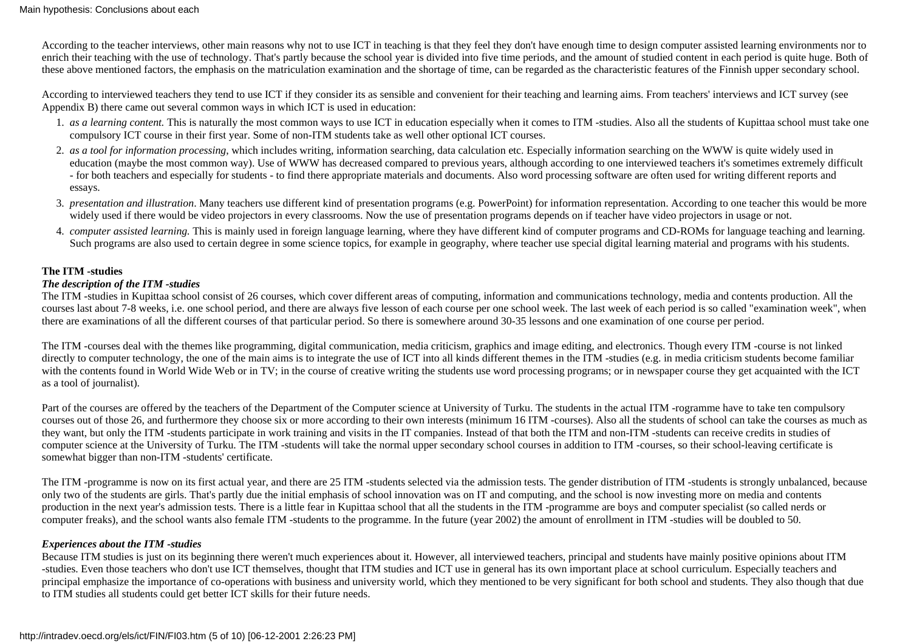According to the teacher interviews, other main reasons why not to use ICT in teaching is that they feel they don't have enough time to design computer assisted learning environments nor to enrich their teaching with the use of technology. That's partly because the school year is divided into five time periods, and the amount of studied content in each period is quite huge. Both of these above mentioned factors, the emphasis on the matriculation examination and the shortage of time, can be regarded as the characteristic features of the Finnish upper secondary school.

According to interviewed teachers they tend to use ICT if they consider its as sensible and convenient for their teaching and learning aims. From teachers' interviews and ICT survey (see Appendix B) there came out several common ways in which ICT is used in education:

- 1. as a learning content. This is naturally the most common ways to use ICT in education especially when it comes to ITM -studies. Also all the students of Kupittaa school must take one compulsory ICT course in their first year. Some of non-ITM students take as well other optional ICT courses.
- 2. as a tool for information processing, which includes writing, information searching, data calculation etc. Especially information searching on the WWW is quite widely used in education (maybe the most common way). Use of WWW has decreased compared to previous years, although according to one interviewed teachers it's sometimes extremely difficult - for both teachers and especially for students - to find there appropriate materials and documents. Also word processing software are often used for writing different reports and essays.
- 3. *presentation and illustration*. Many teachers use different kind of presentation programs (e.g. PowerPoint) for information representation. According to one teacher this would be more widely used if there would be video projectors in every classrooms. Now the use of presentation programs depends on if teacher have video projectors in usage or not.
- 4. computer assisted learning. This is mainly used in foreign language learning, where they have different kind of computer programs and CD-ROMs for language teaching and learning. Such programs are also used to certain degree in some science topics, for example in geography, where teacher use special digital learning material and programs with his students.

#### **The ITM -studies**

## *The description of the ITM -studies*

The ITM -studies in Kupittaa school consist of 26 courses, which cover different areas of computing, information and communications technology, media and contents production. All the courses last about 7-8 weeks, i.e. one school period, and there are always five lesson of each course per one school week. The last week of each period is so called "examination week", when there are examinations of all the different courses of that particular period. So there is somewhere around 30-35 lessons and one examination of one course per period.

The ITM -courses deal with the themes like programming, digital communication, media criticism, graphics and image editing, and electronics. Though every ITM -course is not linked directly to computer technology, the one of the main aims is to integrate the use of ICT into all kinds different themes in the ITM -studies (e.g. in media criticism students become familiar with the contents found in World Wide Web or in TV; in the course of creative writing the students use word processing programs; or in newspaper course they get acquainted with the ICT as a tool of journalist).

Part of the courses are offered by the teachers of the Department of the Computer science at University of Turku. The students in the actual ITM -rogramme have to take ten compulsory courses out of those 26, and furthermore they choose six or more according to their own interests (minimum 16 ITM -courses). Also all the students of school can take the courses as much as they want, but only the ITM -students participate in work training and visits in the IT companies. Instead of that both the ITM and non-ITM -students can receive credits in studies of computer science at the University of Turku. The ITM -students will take the normal upper secondary school courses in addition to ITM -courses, so their school-leaving certificate is somewhat bigger than non-ITM -students' certificate.

The ITM -programme is now on its first actual year, and there are 25 ITM -students selected via the admission tests. The gender distribution of ITM -students is strongly unbalanced, because only two of the students are girls. That's partly due the initial emphasis of school innovation was on IT and computing, and the school is now investing more on media and contents production in the next year's admission tests. There is a little fear in Kupittaa school that all the students in the ITM -programme are boys and computer specialist (so called nerds or computer freaks), and the school wants also female ITM -students to the programme. In the future (year 2002) the amount of enrollment in ITM -studies will be doubled to 50.

## *Experiences about the ITM -studies*

Because ITM studies is just on its beginning there weren't much experiences about it. However, all interviewed teachers, principal and students have mainly positive opinions about ITM -studies. Even those teachers who don't use ICT themselves, thought that ITM studies and ICT use in general has its own important place at school curriculum. Especially teachers and principal emphasize the importance of co-operations with business and university world, which they mentioned to be very significant for both school and students. They also though that due to ITM studies all students could get better ICT skills for their future needs.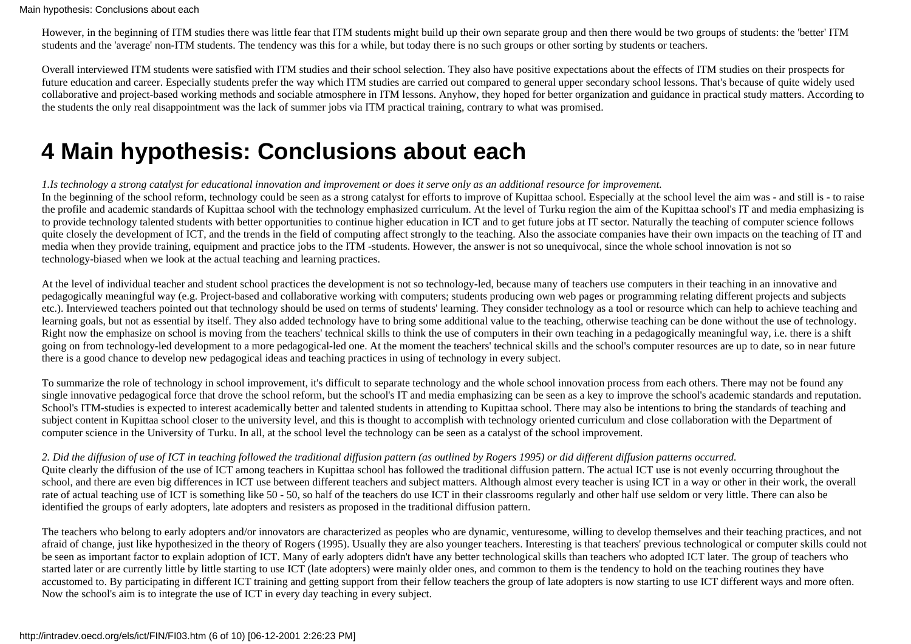However, in the beginning of ITM studies there was little fear that ITM students might build up their own separate group and then there would be two groups of students: the 'better' ITM students and the 'average' non-ITM students. The tendency was this for a while, but today there is no such groups or other sorting by students or teachers.

Overall interviewed ITM students were satisfied with ITM studies and their school selection. They also have positive expectations about the effects of ITM studies on their prospects for future education and career. Especially students prefer the way which ITM studies are carried out compared to general upper secondary school lessons. That's because of quite widely used collaborative and project-based working methods and sociable atmosphere in ITM lessons. Anyhow, they hoped for better organization and guidance in practical study matters. According to the students the only real disappointment was the lack of summer jobs via ITM practical training, contrary to what was promised.

## **4 Main hypothesis: Conclusions about each**

*1.Is technology a strong catalyst for educational innovation and improvement or does it serve only as an additional resource for improvement.*

In the beginning of the school reform, technology could be seen as a strong catalyst for efforts to improve of Kupittaa school. Especially at the school level the aim was - and still is - to raise the profile and academic standards of Kupittaa school with the technology emphasized curriculum. At the level of Turku region the aim of the Kupittaa school's IT and media emphasizing is to provide technology talented students with better opportunities to continue higher education in ICT and to get future jobs at IT sector. Naturally the teaching of computer science follows quite closely the development of ICT, and the trends in the field of computing affect strongly to the teaching. Also the associate companies have their own impacts on the teaching of IT and media when they provide training, equipment and practice jobs to the ITM -students. However, the answer is not so unequivocal, since the whole school innovation is not so technology-biased when we look at the actual teaching and learning practices.

At the level of individual teacher and student school practices the development is not so technology-led, because many of teachers use computers in their teaching in an innovative and pedagogically meaningful way (e.g. Project-based and collaborative working with computers; students producing own web pages or programming relating different projects and subjects etc.). Interviewed teachers pointed out that technology should be used on terms of students' learning. They consider technology as a tool or resource which can help to achieve teaching and learning goals, but not as essential by itself. They also added technology have to bring some additional value to the teaching, otherwise teaching can be done without the use of technology. Right now the emphasize on school is moving from the teachers' technical skills to think the use of computers in their own teaching in a pedagogically meaningful way, i.e. there is a shift going on from technology-led development to a more pedagogical-led one. At the moment the teachers' technical skills and the school's computer resources are up to date, so in near future there is a good chance to develop new pedagogical ideas and teaching practices in using of technology in every subject.

To summarize the role of technology in school improvement, it's difficult to separate technology and the whole school innovation process from each others. There may not be found any single innovative pedagogical force that drove the school reform, but the school's IT and media emphasizing can be seen as a key to improve the school's academic standards and reputation. School's ITM-studies is expected to interest academically better and talented students in attending to Kupittaa school. There may also be intentions to bring the standards of teaching and subject content in Kupittaa school closer to the university level, and this is thought to accomplish with technology oriented curriculum and close collaboration with the Department of computer science in the University of Turku. In all, at the school level the technology can be seen as a catalyst of the school improvement.

## *2. Did the diffusion of use of ICT in teaching followed the traditional diffusion pattern (as outlined by Rogers 1995) or did different diffusion patterns occurred.*

Quite clearly the diffusion of the use of ICT among teachers in Kupittaa school has followed the traditional diffusion pattern. The actual ICT use is not evenly occurring throughout the school, and there are even big differences in ICT use between different teachers and subject matters. Although almost every teacher is using ICT in a way or other in their work, the overall rate of actual teaching use of ICT is something like 50 - 50, so half of the teachers do use ICT in their classrooms regularly and other half use seldom or very little. There can also be identified the groups of early adopters, late adopters and resisters as proposed in the traditional diffusion pattern.

The teachers who belong to early adopters and/or innovators are characterized as peoples who are dynamic, venturesome, willing to develop themselves and their teaching practices, and not afraid of change, just like hypothesized in the theory of Rogers (1995). Usually they are also younger teachers. Interesting is that teachers' previous technological or computer skills could not be seen as important factor to explain adoption of ICT. Many of early adopters didn't have any better technological skills than teachers who adopted ICT later. The group of teachers who started later or are currently little by little starting to use ICT (late adopters) were mainly older ones, and common to them is the tendency to hold on the teaching routines they have accustomed to. By participating in different ICT training and getting support from their fellow teachers the group of late adopters is now starting to use ICT different ways and more often. Now the school's aim is to integrate the use of ICT in every day teaching in every subject.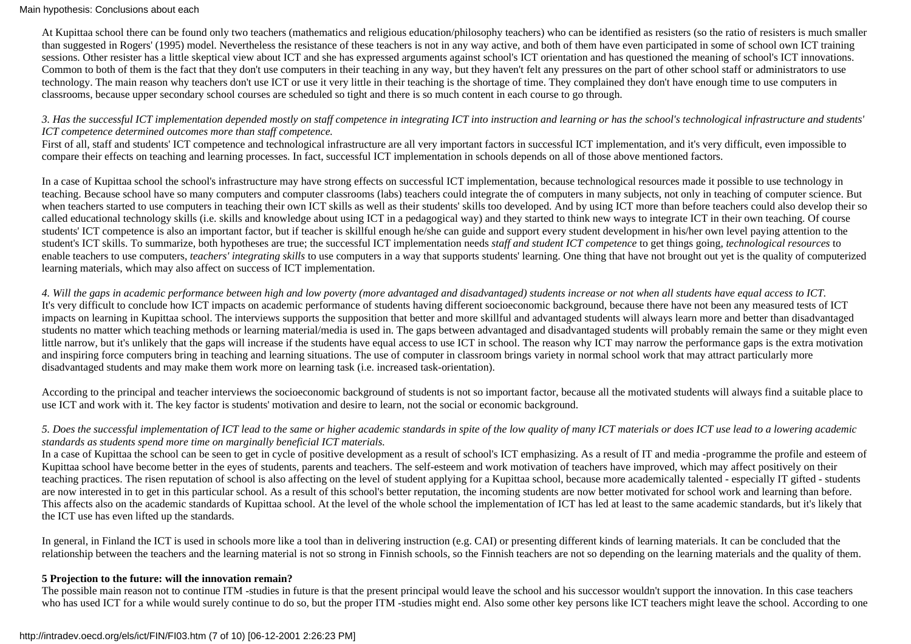#### Main hypothesis: Conclusions about each

At Kupittaa school there can be found only two teachers (mathematics and religious education/philosophy teachers) who can be identified as resisters (so the ratio of resisters is much smaller than suggested in Rogers' (1995) model. Nevertheless the resistance of these teachers is not in any way active, and both of them have even participated in some of school own ICT training sessions. Other resister has a little skeptical view about ICT and she has expressed arguments against school's ICT orientation and has questioned the meaning of school's ICT innovations. Common to both of them is the fact that they don't use computers in their teaching in any way, but they haven't felt any pressures on the part of other school staff or administrators to use technology. The main reason why teachers don't use ICT or use it very little in their teaching is the shortage of time. They complained they don't have enough time to use computers in classrooms, because upper secondary school courses are scheduled so tight and there is so much content in each course to go through.

#### *3. Has the successful ICT implementation depended mostly on staff competence in integrating ICT into instruction and learning or has the school's technological infrastructure and students' ICT competence determined outcomes more than staff competence.*

First of all, staff and students' ICT competence and technological infrastructure are all very important factors in successful ICT implementation, and it's very difficult, even impossible to compare their effects on teaching and learning processes. In fact, successful ICT implementation in schools depends on all of those above mentioned factors.

In a case of Kupittaa school the school's infrastructure may have strong effects on successful ICT implementation, because technological resources made it possible to use technology in teaching. Because school have so many computers and computer classrooms (labs) teachers could integrate the of computers in many subjects, not only in teaching of computer science. But when teachers started to use computers in teaching their own ICT skills as well as their students' skills too developed. And by using ICT more than before teachers could also develop their so called educational technology skills (i.e. skills and knowledge about using ICT in a pedagogical way) and they started to think new ways to integrate ICT in their own teaching. Of course students' ICT competence is also an important factor, but if teacher is skillful enough he/she can guide and support every student development in his/her own level paying attention to the student's ICT skills. To summarize, both hypotheses are true; the successful ICT implementation needs *staff and student ICT competence* to get things going, *technological resources* to enable teachers to use computers, *teachers' integrating skills* to use computers in a way that supports students' learning. One thing that have not brought out yet is the quality of computerized learning materials, which may also affect on success of ICT implementation.

*4. Will the gaps in academic performance between high and low poverty (more advantaged and disadvantaged) students increase or not when all students have equal access to ICT.* It's very difficult to conclude how ICT impacts on academic performance of students having different socioeconomic background, because there have not been any measured tests of ICT impacts on learning in Kupittaa school. The interviews supports the supposition that better and more skillful and advantaged students will always learn more and better than disadvantaged students no matter which teaching methods or learning material/media is used in. The gaps between advantaged and disadvantaged students will probably remain the same or they might even little narrow, but it's unlikely that the gaps will increase if the students have equal access to use ICT in school. The reason why ICT may narrow the performance gaps is the extra motivation and inspiring force computers bring in teaching and learning situations. The use of computer in classroom brings variety in normal school work that may attract particularly more disadvantaged students and may make them work more on learning task (i.e. increased task-orientation).

According to the principal and teacher interviews the socioeconomic background of students is not so important factor, because all the motivated students will always find a suitable place to use ICT and work with it. The key factor is students' motivation and desire to learn, not the social or economic background.

## *5. Does the successful implementation of ICT lead to the same or higher academic standards in spite of the low quality of many ICT materials or does ICT use lead to a lowering academic standards as students spend more time on marginally beneficial ICT materials.*

In a case of Kupittaa the school can be seen to get in cycle of positive development as a result of school's ICT emphasizing. As a result of IT and media -programme the profile and esteem of Kupittaa school have become better in the eyes of students, parents and teachers. The self-esteem and work motivation of teachers have improved, which may affect positively on their teaching practices. The risen reputation of school is also affecting on the level of student applying for a Kupittaa school, because more academically talented - especially IT gifted - students are now interested in to get in this particular school. As a result of this school's better reputation, the incoming students are now better motivated for school work and learning than before. This affects also on the academic standards of Kupittaa school. At the level of the whole school the implementation of ICT has led at least to the same academic standards, but it's likely that the ICT use has even lifted up the standards.

In general, in Finland the ICT is used in schools more like a tool than in delivering instruction (e.g. CAI) or presenting different kinds of learning materials. It can be concluded that the relationship between the teachers and the learning material is not so strong in Finnish schools, so the Finnish teachers are not so depending on the learning materials and the quality of them.

#### **5 Projection to the future: will the innovation remain?**

The possible main reason not to continue ITM -studies in future is that the present principal would leave the school and his successor wouldn't support the innovation. In this case teachers who has used ICT for a while would surely continue to do so, but the proper ITM -studies might end. Also some other key persons like ICT teachers might leave the school. According to one

#### http://intradev.oecd.org/els/ict/FIN/FI03.htm (7 of 10) [06-12-2001 2:26:23 PM]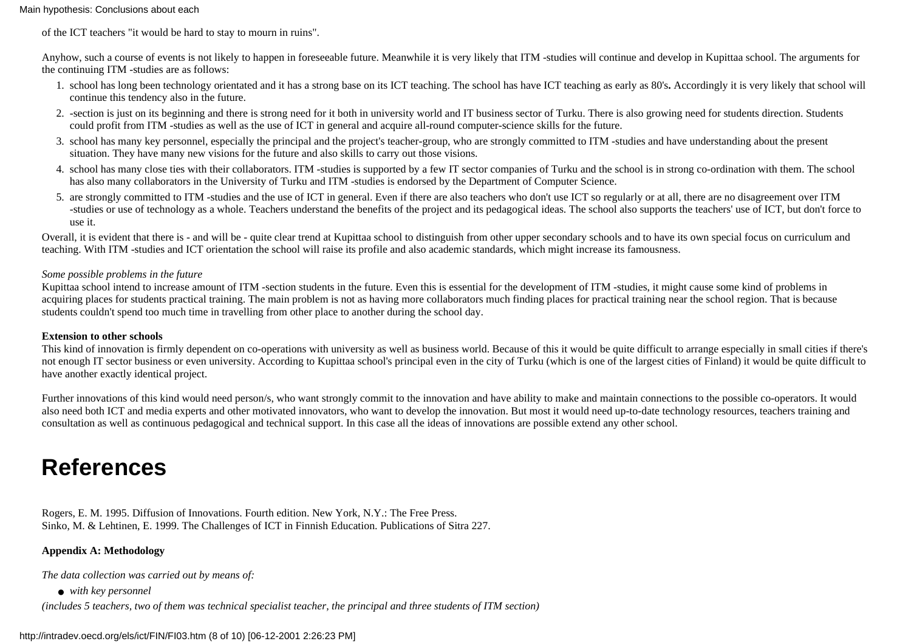#### Main hypothesis: Conclusions about each

of the ICT teachers "it would be hard to stay to mourn in ruins".

Anyhow, such a course of events is not likely to happen in foreseeable future. Meanwhile it is very likely that ITM -studies will continue and develop in Kupittaa school. The arguments for the continuing ITM -studies are as follows:

- school has long been technology orientated and it has a strong base on its ICT teaching. The school has have ICT teaching as early as 80's**.** Accordingly it is very likely that school will 1. continue this tendency also in the future.
- -section is just on its beginning and there is strong need for it both in university world and IT business sector of Turku. There is also growing need for students direction. Students 2. could profit from ITM -studies as well as the use of ICT in general and acquire all-round computer-science skills for the future.
- 3. school has many key personnel, especially the principal and the project's teacher-group, who are strongly committed to ITM -studies and have understanding about the present situation. They have many new visions for the future and also skills to carry out those visions.
- 4. school has many close ties with their collaborators. ITM -studies is supported by a few IT sector companies of Turku and the school is in strong co-ordination with them. The school has also many collaborators in the University of Turku and ITM -studies is endorsed by the Department of Computer Science.
- 5. are strongly committed to ITM -studies and the use of ICT in general. Even if there are also teachers who don't use ICT so regularly or at all, there are no disagreement over ITM -studies or use of technology as a whole. Teachers understand the benefits of the project and its pedagogical ideas. The school also supports the teachers' use of ICT, but don't force to use it.

Overall, it is evident that there is - and will be - quite clear trend at Kupittaa school to distinguish from other upper secondary schools and to have its own special focus on curriculum and teaching. With ITM -studies and ICT orientation the school will raise its profile and also academic standards, which might increase its famousness.

#### *Some possible problems in the future*

Kupittaa school intend to increase amount of ITM -section students in the future. Even this is essential for the development of ITM -studies, it might cause some kind of problems in acquiring places for students practical training. The main problem is not as having more collaborators much finding places for practical training near the school region. That is because students couldn't spend too much time in travelling from other place to another during the school day.

#### **Extension to other schools**

This kind of innovation is firmly dependent on co-operations with university as well as business world. Because of this it would be quite difficult to arrange especially in small cities if there's not enough IT sector business or even university. According to Kupittaa school's principal even in the city of Turku (which is one of the largest cities of Finland) it would be quite difficult to have another exactly identical project.

Further innovations of this kind would need person/s, who want strongly commit to the innovation and have ability to make and maintain connections to the possible co-operators. It would also need both ICT and media experts and other motivated innovators, who want to develop the innovation. But most it would need up-to-date technology resources, teachers training and consultation as well as continuous pedagogical and technical support. In this case all the ideas of innovations are possible extend any other school.

## **References**

Rogers, E. M. 1995. Diffusion of Innovations. Fourth edition. New York, N.Y.: The Free Press. Sinko, M. & Lehtinen, E. 1999. The Challenges of ICT in Finnish Education. Publications of Sitra 227.

## **Appendix A: Methodology**

*The data collection was carried out by means of:*

● *with key personnel*

*(includes 5 teachers, two of them was technical specialist teacher, the principal and three students of ITM section)*

#### http://intradev.oecd.org/els/ict/FIN/FI03.htm (8 of 10) [06-12-2001 2:26:23 PM]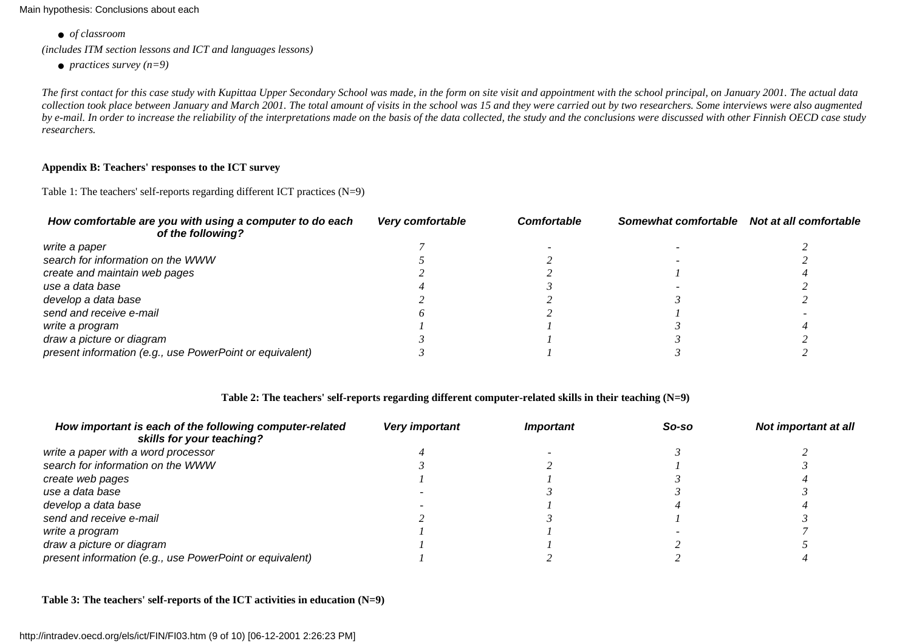Main hypothesis: Conclusions about each

● *of classroom*

*(includes ITM section lessons and ICT and languages lessons)*

● *practices survey (n=9)*

*The first contact for this case study with Kupittaa Upper Secondary School was made, in the form on site visit and appointment with the school principal, on January 2001. The actual data collection took place between January and March 2001. The total amount of visits in the school was 15 and they were carried out by two researchers. Some interviews were also augmented by e-mail. In order to increase the reliability of the interpretations made on the basis of the data collected, the study and the conclusions were discussed with other Finnish OECD case study researchers.*

## **Appendix B: Teachers' responses to the ICT survey**

Table 1: The teachers' self-reports regarding different ICT practices (N=9)

| How comfortable are you with using a computer to do each<br>of the following? | Very comfortable | <b>Comfortable</b> | Somewhat comfortable | Not at all comfortable |
|-------------------------------------------------------------------------------|------------------|--------------------|----------------------|------------------------|
| write a paper                                                                 |                  |                    |                      |                        |
| search for information on the WWW                                             |                  |                    |                      |                        |
| create and maintain web pages                                                 |                  |                    |                      |                        |
| use a data base                                                               |                  |                    |                      |                        |
| develop a data base                                                           |                  |                    |                      |                        |
| send and receive e-mail                                                       |                  |                    |                      |                        |
| write a program                                                               |                  |                    |                      |                        |
| draw a picture or diagram                                                     |                  |                    |                      |                        |
| present information (e.g., use PowerPoint or equivalent)                      |                  |                    |                      |                        |

## **Table 2: The teachers' self-reports regarding different computer-related skills in their teaching (N=9)**

| How important is each of the following computer-related<br>skills for your teaching? | Very important | <i><b>Important</b></i> | So-so | Not important at all |
|--------------------------------------------------------------------------------------|----------------|-------------------------|-------|----------------------|
| write a paper with a word processor                                                  |                |                         |       |                      |
| search for information on the WWW                                                    |                |                         |       |                      |
| create web pages                                                                     |                |                         |       |                      |
| use a data base                                                                      |                |                         |       |                      |
| develop a data base                                                                  |                |                         |       |                      |
| send and receive e-mail                                                              |                |                         |       |                      |
| write a program                                                                      |                |                         |       |                      |
| draw a picture or diagram                                                            |                |                         |       |                      |
| present information (e.g., use PowerPoint or equivalent)                             |                |                         |       |                      |

**Table 3: The teachers' self-reports of the ICT activities in education (N=9)**